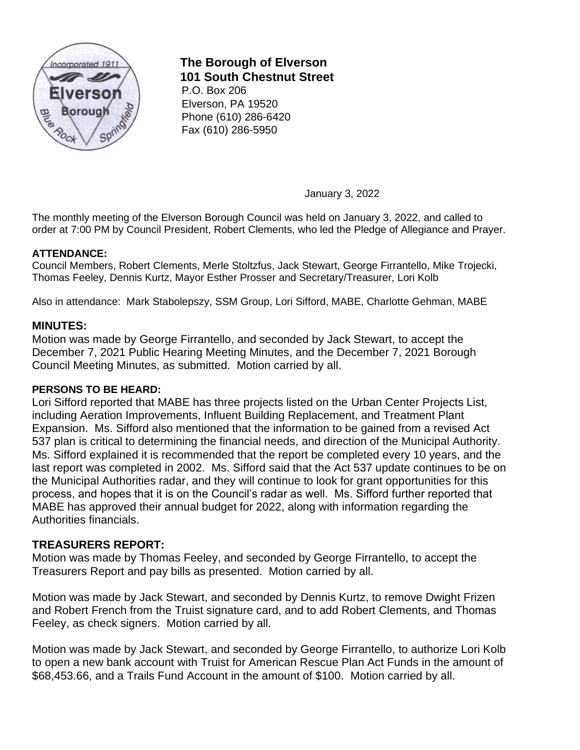

# **The Borough of Elverson 101 South Chestnut Street**

P.O. Box 206 Elverson, PA 19520 Phone (610) 286-6420 Fax (610) 286-5950

January 3, 2022

The monthly meeting of the Elverson Borough Council was held on January 3, 2022, and called to order at 7:00 PM by Council President, Robert Clements, who led the Pledge of Allegiance and Prayer.

## **ATTENDANCE:**

Council Members, Robert Clements, Merle Stoltzfus, Jack Stewart, George Firrantello, Mike Trojecki, Thomas Feeley, Dennis Kurtz, Mayor Esther Prosser and Secretary/Treasurer, Lori Kolb

Also in attendance: Mark Stabolepszy, SSM Group, Lori Sifford, MABE, Charlotte Gehman, MABE

## **MINUTES:**

Motion was made by George Firrantello, and seconded by Jack Stewart, to accept the December 7, 2021 Public Hearing Meeting Minutes, and the December 7, 2021 Borough Council Meeting Minutes, as submitted. Motion carried by all.

#### **PERSONS TO BE HEARD:**

Lori Sifford reported that MABE has three projects listed on the Urban Center Projects List, including Aeration Improvements, Influent Building Replacement, and Treatment Plant Expansion. Ms. Sifford also mentioned that the information to be gained from a revised Act 537 plan is critical to determining the financial needs, and direction of the Municipal Authority. Ms. Sifford explained it is recommended that the report be completed every 10 years, and the last report was completed in 2002. Ms. Sifford said that the Act 537 update continues to be on the Municipal Authorities radar, and they will continue to look for grant opportunities for this process, and hopes that it is on the Council's radar as well. Ms. Sifford further reported that MABE has approved their annual budget for 2022, along with information regarding the Authorities financials.

## **TREASURERS REPORT:**

Motion was made by Thomas Feeley, and seconded by George Firrantello, to accept the Treasurers Report and pay bills as presented. Motion carried by all.

Motion was made by Jack Stewart, and seconded by Dennis Kurtz, to remove Dwight Frizen and Robert French from the Truist signature card, and to add Robert Clements, and Thomas Feeley, as check signers. Motion carried by all.

Motion was made by Jack Stewart, and seconded by George Firrantello, to authorize Lori Kolb to open a new bank account with Truist for American Rescue Plan Act Funds in the amount of \$68,453.66, and a Trails Fund Account in the amount of \$100. Motion carried by all.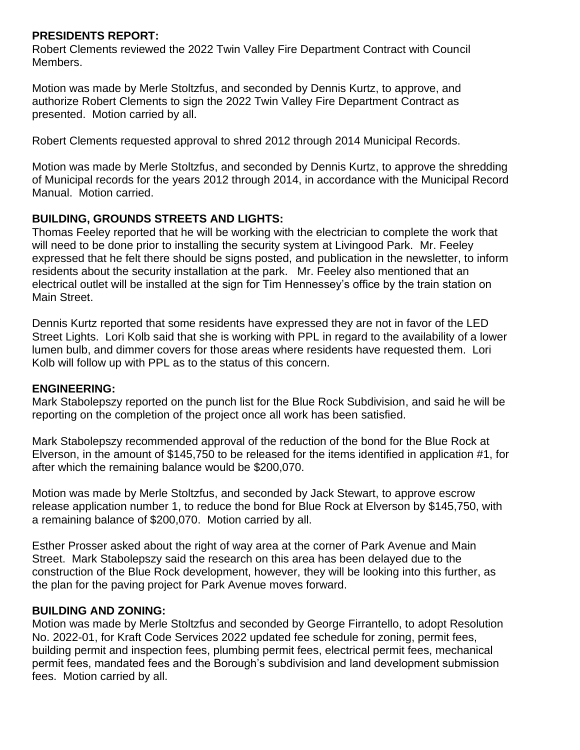## **PRESIDENTS REPORT:**

Robert Clements reviewed the 2022 Twin Valley Fire Department Contract with Council Members.

Motion was made by Merle Stoltzfus, and seconded by Dennis Kurtz, to approve, and authorize Robert Clements to sign the 2022 Twin Valley Fire Department Contract as presented. Motion carried by all.

Robert Clements requested approval to shred 2012 through 2014 Municipal Records.

Motion was made by Merle Stoltzfus, and seconded by Dennis Kurtz, to approve the shredding of Municipal records for the years 2012 through 2014, in accordance with the Municipal Record Manual. Motion carried.

## **BUILDING, GROUNDS STREETS AND LIGHTS:**

Thomas Feeley reported that he will be working with the electrician to complete the work that will need to be done prior to installing the security system at Livingood Park. Mr. Feeley expressed that he felt there should be signs posted, and publication in the newsletter, to inform residents about the security installation at the park. Mr. Feeley also mentioned that an electrical outlet will be installed at the sign for Tim Hennessey's office by the train station on Main Street.

Dennis Kurtz reported that some residents have expressed they are not in favor of the LED Street Lights. Lori Kolb said that she is working with PPL in regard to the availability of a lower lumen bulb, and dimmer covers for those areas where residents have requested them. Lori Kolb will follow up with PPL as to the status of this concern.

## **ENGINEERING:**

Mark Stabolepszy reported on the punch list for the Blue Rock Subdivision, and said he will be reporting on the completion of the project once all work has been satisfied.

Mark Stabolepszy recommended approval of the reduction of the bond for the Blue Rock at Elverson, in the amount of \$145,750 to be released for the items identified in application #1, for after which the remaining balance would be \$200,070.

Motion was made by Merle Stoltzfus, and seconded by Jack Stewart, to approve escrow release application number 1, to reduce the bond for Blue Rock at Elverson by \$145,750, with a remaining balance of \$200,070. Motion carried by all.

Esther Prosser asked about the right of way area at the corner of Park Avenue and Main Street. Mark Stabolepszy said the research on this area has been delayed due to the construction of the Blue Rock development, however, they will be looking into this further, as the plan for the paving project for Park Avenue moves forward.

## **BUILDING AND ZONING:**

Motion was made by Merle Stoltzfus and seconded by George Firrantello, to adopt Resolution No. 2022-01, for Kraft Code Services 2022 updated fee schedule for zoning, permit fees, building permit and inspection fees, plumbing permit fees, electrical permit fees, mechanical permit fees, mandated fees and the Borough's subdivision and land development submission fees. Motion carried by all.